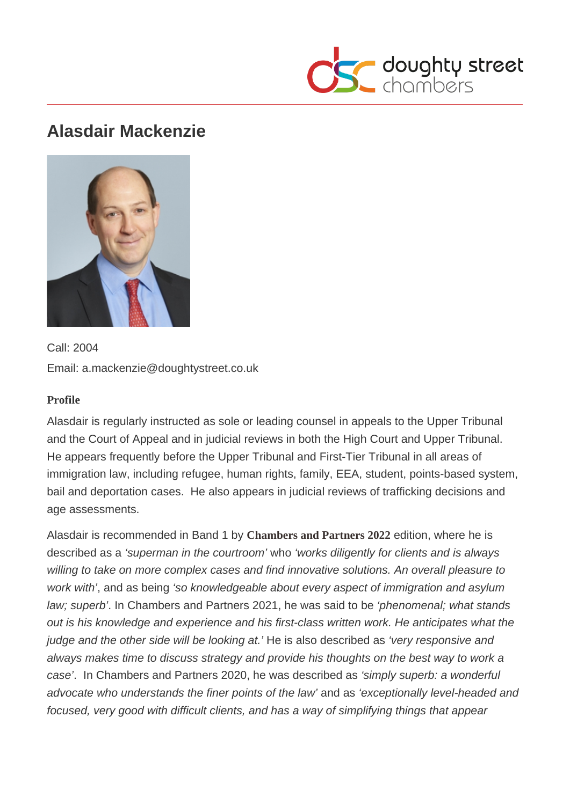# Alasdair Mackenzie

Call: 2004 Email: a.mackenzie@doughtystreet.co.uk

#### Profile

Alasdair is regularly instructed as sole or leading counsel in appeals to the Upper Tribunal and the Court of Appeal and in judicial reviews in both the High Court and Upper Tribunal. He appears frequently before the Upper Tribunal and First-Tier Tribunal in all areas of immigration law, including refugee, human rights, family, EEA, student, points-based system, bail and deportation cases. He also appears in judicial reviews of trafficking decisions and age assessments.

Alasdair is recommended in Band 1 by [Chambers and Partners 202](https://chambers.com/department/doughty-street-chambers-immigration-uk-bar-14:31:11841:2:10378)2 edition, where he is described as a 'superman in the courtroom' who 'works diligently for clients and is always willing to take on more complex cases and find innovative solutions. An overall pleasure to work with', and as being 'so knowledgeable about every aspect of immigration and asylum law; superb'. In Chambers and Partners 2021, he was said to be 'phenomenal; what stands out is his knowledge and experience and his first-class written work. He anticipates what the judge and the other side will be looking at.' He is also described as 'very responsive and always makes time to discuss strategy and provide his thoughts on the best way to work a case'. In Chambers and Partners 2020, he was described as 'simply superb: a wonderful advocate who understands the finer points of the law' and as 'exceptionally level-headed and focused, very good with difficult clients, and has a way of simplifying things that appear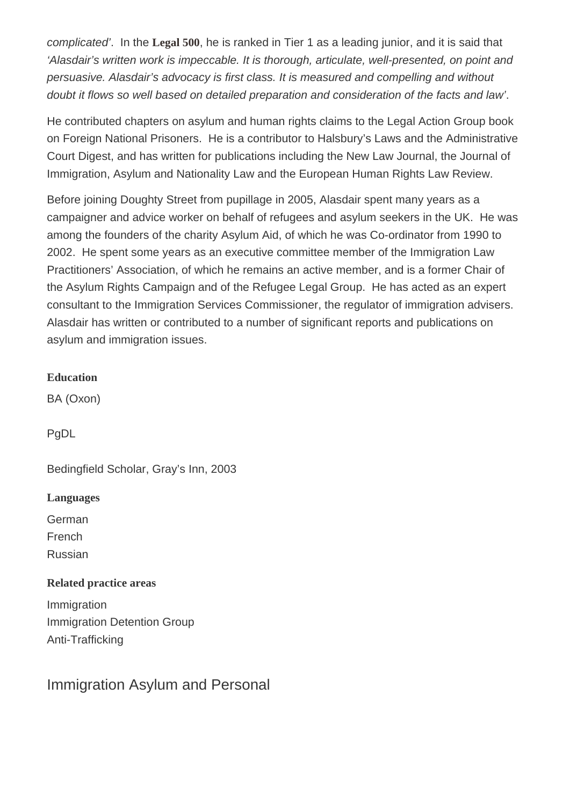complicated'. In the [Legal 500,](https://www.legal500.com/firms/9303-doughty-street-chambers/9303-london-england/lawyers/551221-alasdair-mackenzie/) he is ranked in Tier 1 as a leading junior, and it is said that 'Alasdair's written work is impeccable. It is thorough, articulate, well-presented, on point and persuasive. Alasdair's advocacy is first class. It is measured and compelling and without doubt it flows so well based on detailed preparation and consideration of the facts and law'.

He contributed chapters on asylum and human rights claims to the Legal Action Group book on Foreign National Prisoners. He is a contributor to Halsbury's Laws and the Administrative Court Digest, and has written for publications including the New Law Journal, the Journal of Immigration, Asylum and Nationality Law and the European Human Rights Law Review.

Before joining Doughty Street from pupillage in 2005, Alasdair spent many years as a campaigner and advice worker on behalf of refugees and asylum seekers in the UK. He was among the founders of the charity Asylum Aid, of which he was Co-ordinator from 1990 to 2002. He spent some years as an executive committee member of the Immigration Law Practitioners' Association, of which he remains an active member, and is a former Chair of the Asylum Rights Campaign and of the Refugee Legal Group. He has acted as an expert consultant to the Immigration Services Commissioner, the regulator of immigration advisers. Alasdair has written or contributed to a number of significant reports and publications on asylum and immigration issues.

**Education** 

BA (Oxon)

PgDL

Bedingfield Scholar, Gray's Inn, 2003

Languages

German

French

Russian

Related practice areas

Immigration Immigration Detention Group Anti-Trafficking

Immigration Asylum and Personal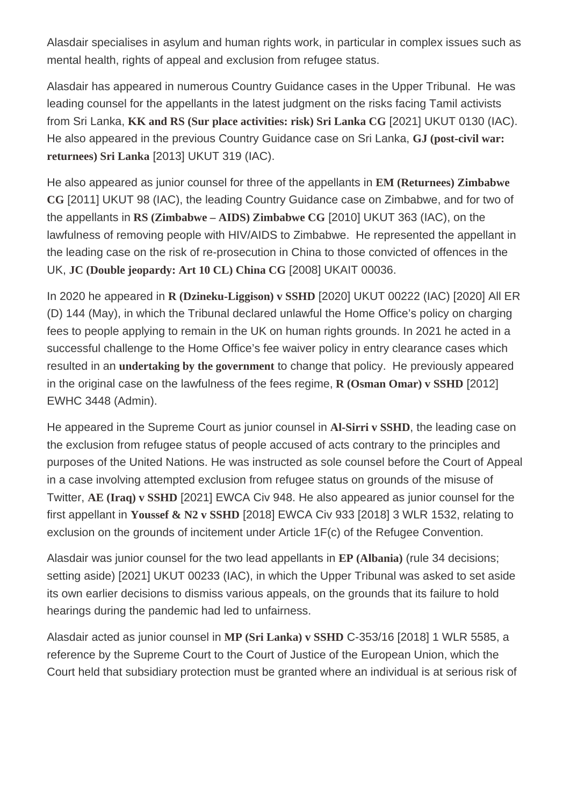Alasdair specialises in asylum and human rights work, in particular in complex issues such as mental health, rights of appeal and exclusion from refugee status.

Alasdair has appeared in numerous Country Guidance cases in the Upper Tribunal. He was leading counsel for the appellants in the latest judgment on the risks facing Tamil activists from Sri Lanka, [KK and RS \(Sur place activities: risk\) Sri Lanka CG](https://tribunalsdecisions.service.gov.uk/utiac/2021-ukut-130) [2021] UKUT 0130 (IAC). He also appeared in the previous Country Guidance case on Sri Lanka, [GJ \(post-civil war:](https://tribunalsdecisions.service.gov.uk/utiac/2013-ukut-319) [returnees\) Sri Lanka](https://tribunalsdecisions.service.gov.uk/utiac/2013-ukut-319) [2013] UKUT 319 (IAC).

He also appeared as junior counsel for three of the appellants in [EM \(Returnees\) Zimbabwe](https://tribunalsdecisions.service.gov.uk/utiac/2011-ukut-98) [CG](https://tribunalsdecisions.service.gov.uk/utiac/2011-ukut-98) [2011] UKUT 98 (IAC), the leading Country Guidance case on Zimbabwe, and for two of the appellants in RS (Zimbabwe – AIDS) Zimbabwe CG[2010] UKUT 363 (IAC), on the lawfulness of removing people with HIV/AIDS to Zimbabwe. He represented the appellant in the leading case on the risk of re-prosecution in China to those convicted of offences in the UK, [JC \(Double jeopardy: Art 10 CL\) China CG](https://tribunalsdecisions.service.gov.uk/utiac/2008-ukait-36) [2008] UKAIT 00036.

In 2020 he appeared in [R \(Dzineku-Liggison\) v SSHD](https://tribunalsdecisions.service.gov.uk/utiac/2020-ukut-222)[2020] UKUT 00222 (IAC) [2020] All ER (D) 144 (May), in which the Tribunal declared unlawful the Home Office's policy on charging fees to people applying to remain in the UK on human rights grounds. In 2021 he acted in a successful challenge to the Home Office's fee waiver policy in entry clearance cases which resulted in an undertaking by the governmentto change that policy. He previously appeared in the original case on the lawfulness of the fees regime, [R \(Osman Omar\) v SSHD](http://www.bailii.org/ew/cases/EWHC/Admin/2012/3448.html)[2012] EWHC 3448 (Admin).

He appeared in the Supreme Court as junior counsel in [Al-Sirri v SSHD](http://www.supremecourt.gov.uk/decided-cases/docs/UKSC_2011_0003_Judgment.pdf), the leading case on the exclusion from refugee status of people accused of acts contrary to the principles and purposes of the United Nations. He was instructed as sole counsel before the Court of Appeal in a case involving attempted exclusion from refugee status on grounds of the misuse of Twitter, [AE \(Iraq\) v SSHD](https://www.bailii.org/ew/cases/EWCA/Civ/2021/948.html) [2021] EWCA Civ 948. He also appeared as junior counsel for the first appellant in [Youssef & N2 v SSHD](https://www.bailii.org/ew/cases/EWCA/Civ/2018/933.html)[2018] EWCA Civ 933 [2018] 3 WLR 1532, relating to exclusion on the grounds of incitement under Article 1F(c) of the Refugee Convention.

Alasdair was junior counsel for the two lead appellants in [EP \(Albania\)]( https://tribunalsdecisions.service.gov.uk/utiac/2021-ukut-233) (rule 34 decisions; setting aside) [2021] UKUT 00233 (IAC), in which the Upper Tribunal was asked to set aside its own earlier decisions to dismiss various appeals, on the grounds that its failure to hold hearings during the pandemic had led to unfairness.

Alasdair acted as junior counsel in [MP \(Sri Lanka\) v SSHD](http://curia.europa.eu/juris/liste.jsf?language=en&num=C-353/16) C-353/16 [2018] 1 WLR 5585, a reference by the Supreme Court to the Court of Justice of the European Union, which the Court held that subsidiary protection must be granted where an individual is at serious risk of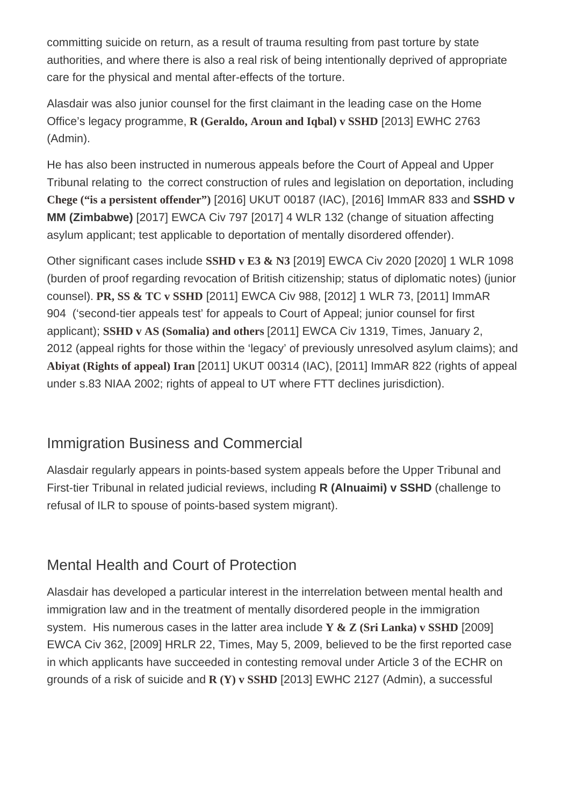committing suicide on return, as a result of trauma resulting from past torture by state authorities, and where there is also a real risk of being intentionally deprived of appropriate care for the physical and mental after-effects of the torture.

Alasdair was also junior counsel for the first claimant in the leading case on the Home Office's legacy programme, R (Geraldo, Aroun and Igbal) v SSHD[2013] EWHC 2763 (Admin).

He has also been instructed in numerous appeals before the Court of Appeal and Upper Tribunal relating to the correct construction of rules and legislation on deportation, including [Chege \("is a persistent offender"](https://tribunalsdecisions.service.gov.uk/utiac/2016-ukut-187)) [2016] UKUT 00187 (IAC), [2016] ImmAR 833 and SSHD v MM (Zimbabwe) [2017] EWCA Civ 797 [2017] 4 WLR 132 (change of situation affecting asylum applicant; test applicable to deportation of mentally disordered offender).

Other significant cases include [SSHD v E3 & N3](http://www.bailii.org/ew/cases/EWCA/Civ/2019/2020.html]) [2019] EWCA Civ 2020 [2020] 1 WLR 1098 (burden of proof regarding revocation of British citizenship; status of diplomatic notes) (junior counsel). [PR, SS & TC v SSHD](http://www.bailii.org/ew/cases/EWCA/Civ/2011/988.html)[2011] EWCA Civ 988, [2012] 1 WLR 73, [2011] ImmAR 904 ('second-tier appeals test' for appeals to Court of Appeal; junior counsel for first applicant); SSHD v AS (Somalia) and other\$2011] EWCA Civ 1319, Times, January 2, 2012 (appeal rights for those within the 'legacy' of previously unresolved asylum claims); and [Abiyat \(Rights of appeal\) Iran \[](https://tribunalsdecisions.service.gov.uk/utiac/2011-ukut-314)2011] UKUT 00314 (IAC), [2011] ImmAR 822 (rights of appeal under s.83 NIAA 2002; rights of appeal to UT where FTT declines jurisdiction).

#### Immigration Business and Commercial

Alasdair regularly appears in points-based system appeals before the Upper Tribunal and First-tier Tribunal in related judicial reviews, including R (Alnuaimi) v SSHD (challenge to refusal of ILR to spouse of points-based system migrant).

### Mental Health and Court of Protection

Alasdair has developed a particular interest in the interrelation between mental health and immigration law and in the treatment of mentally disordered people in the immigration system. His numerous cases in the latter area includ[e Y & Z \(Sri Lanka\) v SSHD](http://www.bailii.org/ew/cases/EWCA/Civ/2009/362.html) [2009] EWCA Civ 362, [2009] HRLR 22, Times, May 5, 2009, believed to be the first reported case in which applicants have succeeded in contesting removal under Article 3 of the ECHR on grounds of a risk of suicide an[d R \(Y\) v SSHD](http://www.bailii.org/ew/cases/EWHC/Admin/2013/2127.html) [2013] EWHC 2127 (Admin), a successful